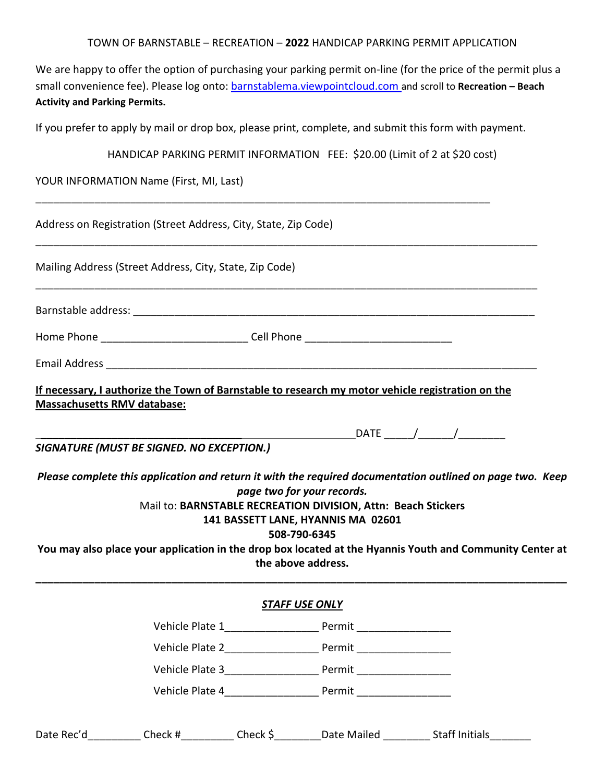| TOWN OF BARNSTABLE – RECREATION – 2022 HANDICAP PARKING PERMIT APPLICATION |
|----------------------------------------------------------------------------|
|----------------------------------------------------------------------------|

We are happy to offer the option of purchasing your parking permit on-line (for the price of the permit plus a small convenience fee). Please log onto: barnstablema.viewpointcloud.com and scroll to **Recreation – Beach Activity and Parking Permits.**

If you prefer to apply by mail or drop box, please print, complete, and submit this form with payment.

| HANDICAP PARKING PERMIT INFORMATION FEE: \$20.00 (Limit of 2 at \$20 cost) |  |
|----------------------------------------------------------------------------|--|
|                                                                            |  |

YOUR INFORMATION Name (First, MI, Last)

|                                    | Address on Registration (Street Address, City, State, Zip Code)                                                                                |               |                                                                                                                                                   |                                                                                                                                                                                                                       |
|------------------------------------|------------------------------------------------------------------------------------------------------------------------------------------------|---------------|---------------------------------------------------------------------------------------------------------------------------------------------------|-----------------------------------------------------------------------------------------------------------------------------------------------------------------------------------------------------------------------|
|                                    | Mailing Address (Street Address, City, State, Zip Code)                                                                                        |               |                                                                                                                                                   |                                                                                                                                                                                                                       |
|                                    |                                                                                                                                                |               |                                                                                                                                                   |                                                                                                                                                                                                                       |
|                                    | Home Phone ______________________________Cell Phone ____________________________                                                               |               |                                                                                                                                                   |                                                                                                                                                                                                                       |
|                                    |                                                                                                                                                |               |                                                                                                                                                   |                                                                                                                                                                                                                       |
| <b>Massachusetts RMV database:</b> | If necessary, I authorize the Town of Barnstable to research my motor vehicle registration on the<br>SIGNATURE (MUST BE SIGNED. NO EXCEPTION.) |               | page two for your records.<br>Mail to: BARNSTABLE RECREATION DIVISION, Attn: Beach Stickers<br>141 BASSETT LANE, HYANNIS MA 02601<br>508-790-6345 | Please complete this application and return it with the required documentation outlined on page two. Keep<br>You may also place your application in the drop box located at the Hyannis Youth and Community Center at |
|                                    |                                                                                                                                                |               | the above address.                                                                                                                                |                                                                                                                                                                                                                       |
|                                    |                                                                                                                                                |               | <b>STAFF USE ONLY</b>                                                                                                                             |                                                                                                                                                                                                                       |
|                                    |                                                                                                                                                |               | Vehicle Plate 1_________________________ Permit ________________________________                                                                  |                                                                                                                                                                                                                       |
|                                    |                                                                                                                                                |               | Vehicle Plate 2_______________________ Permit __________________________________                                                                  |                                                                                                                                                                                                                       |
|                                    | Vehicle Plate 3                                                                                                                                |               |                                                                                                                                                   |                                                                                                                                                                                                                       |
|                                    |                                                                                                                                                |               | Vehicle Plate 4 Permit                                                                                                                            |                                                                                                                                                                                                                       |
| Date Rec'd                         | Check #                                                                                                                                        | Check $\zeta$ |                                                                                                                                                   | Date Mailed Staff Initials                                                                                                                                                                                            |